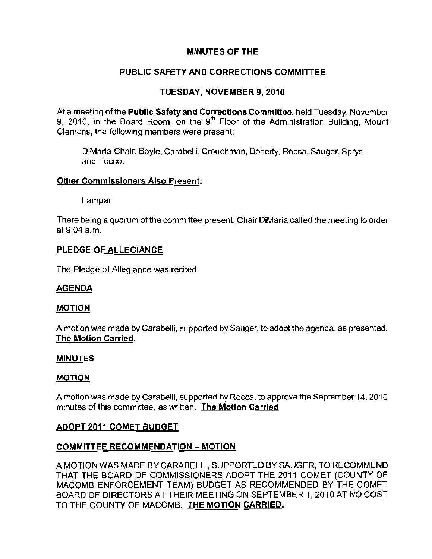# MINUTES OF THE

# PUBLIC SAFETY AND CORRECTIONS COMMITTEE

# TUESDAY, NOVEMBER 9, 2010

At a meeting of the Public Safety and Corrections Committee, held Tuesday, November 9, 2010, in the Board Room, on the 9<sup>th</sup> Floor of the Administration Building, Mount Clemens, the following members were present:

DiMaria-Chair, Boyle, Carabelli, Crouchman, Doherty, Rocca, Sauger, Sprys and Tocco.

#### **Other Commissioners Also Present:**

Lampar

There being a quorum of the committee present, Chair DiMaria called the meeting to order at 9:04 a.m.

## PLEDGE OF ALLEGIANCE

The Pledge of Allegiance was recited.

## AGENDA

#### MOTION

A motion was made by Carabelli, supported by Sauger, to adopt the agenda, as presented. The Motion Carried,

#### MINUTES

#### MOTION

A motion was made by Carabelli, supported by Rocca, to approve the September 14, 2010 minutes of this committee, as written. **The Motion Carried.** 

## ADOPT 2011 COMET BUDGET

## COMMITTEE RECOMMENDATION - MOTION

A MOTION WAS MADE BY CARABELLI, SUPPORTED BY SAUGER, TO RECOMMEND THAT THE BOARD OF COMMISSIONERS ADOPT THE 2011 COMET (COUNTY OF MACOMB ENFORCEMENT TEAM) BUDGET AS RECOMMENDED BY THE COMET BOARD OF DIRECTORS AT THEIR MEETING ON SEPTEMBER 1, 2010 AT NO COST TO THE COUNTY OF MACOMB. THE MOTION CARRIED.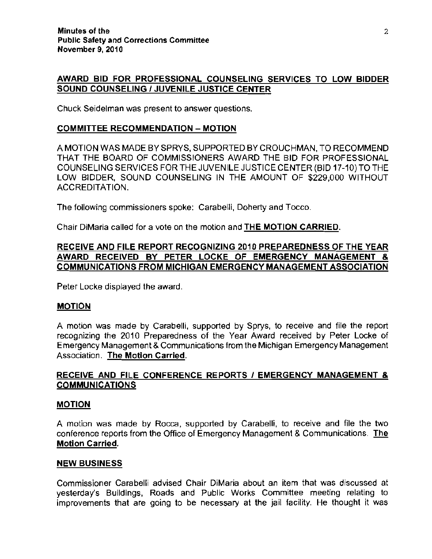#### AWARD BID FOR PROFESSIONAL COUNSELING SERVICES TO LOW BIDDER SOUND COUNSELING / JUVENILE JUSTICE CENTER

Chuck Seidelman was present to answer questions.

#### COMMITTEE RECOMMENDATION - MOTION

A MOTION WAS MADE BY SPRYS, SUPPORTED BY CROUCHMAN. TO RECOMMEND THAT THE BOARD OF COMMISSIONERS AWARD THE BID FOR PROFESSIONAL COUNSELING SERVICES FOR THE JUVENILE JUSTICE CENTER (BID 17-10) TO THE LOW BIDDER, SOUND COUNSELING IN THE AMOUNT OF \$229,000 WITHOUT ACCREDITATION.

The following commissioners spoke: Carabelli, Doherty and Tocco.

Chair DiMaria called for a vote on the motion and THE MOTION CARRIED.

## RECEIVE AND FILE REPORT RECOGNIZING 2010 PREPAREDNESS OF THE YEAR AWARD RECEIVED BY PETER LOCKE OF EMERGENCY MANAGEMENT & COMMUNICATIONS FROM MICHIGAN EMERGENCY MANAGEMENT ASSOCIATION

Peter Locke displayed the award.

## MOTION

A motion was made by Carabelli, supported by Sprys, to receive and file the report recognizing the 2010 Preparedness of the Year Award received by Peter Locke of Emergency Management & Communications from the Michigan Emergency Management Association. The Motion Carried.

## RECEIVE AND FILE CONFERENCE REPORTS / EMERGENCY MANAGEMENT & **COMMUNICATIONS**

#### **MOTION**

A motion was made by Rocca, supported by Carabelli, to receive and file the two conference reports from the Office of Emergency Management & Communications. **The**  Motion Carried.

## NEW BUSINESS

Commissioner Carabelli advised Chair DiMaria about an item that was discussed at yesterday's Buildings, Roads and Public Works Committee meeting relating to improvements that are going to be necessary at the jail facility. He thought it was